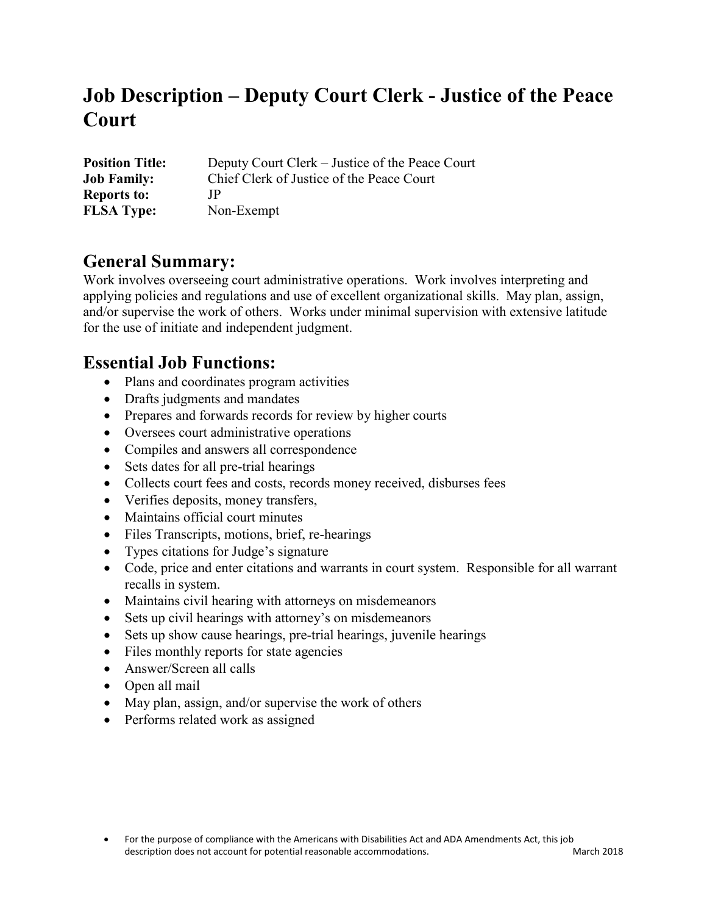# **Job Description – Deputy Court Clerk - Justice of the Peace Court**

| <b>Position Title:</b> | Deputy Court Clerk – Justice of the Peace Court |
|------------------------|-------------------------------------------------|
| <b>Job Family:</b>     | Chief Clerk of Justice of the Peace Court       |
| <b>Reports to:</b>     | ΤÞ                                              |
| <b>FLSA Type:</b>      | Non-Exempt                                      |

### **General Summary:**

Work involves overseeing court administrative operations. Work involves interpreting and applying policies and regulations and use of excellent organizational skills. May plan, assign, and/or supervise the work of others. Works under minimal supervision with extensive latitude for the use of initiate and independent judgment.

### **Essential Job Functions:**

- Plans and coordinates program activities
- Drafts judgments and mandates
- Prepares and forwards records for review by higher courts
- Oversees court administrative operations
- Compiles and answers all correspondence
- Sets dates for all pre-trial hearings
- Collects court fees and costs, records money received, disburses fees
- Verifies deposits, money transfers,
- Maintains official court minutes
- Files Transcripts, motions, brief, re-hearings
- Types citations for Judge's signature
- Code, price and enter citations and warrants in court system. Responsible for all warrant recalls in system.
- Maintains civil hearing with attorneys on misdemeanors
- Sets up civil hearings with attorney's on misdemeanors
- Sets up show cause hearings, pre-trial hearings, juvenile hearings
- Files monthly reports for state agencies
- Answer/Screen all calls
- Open all mail
- May plan, assign, and/or supervise the work of others
- Performs related work as assigned

<sup>•</sup> For the purpose of compliance with the Americans with Disabilities Act and ADA Amendments Act, this job description does not account for potential reasonable accommodations. March 2018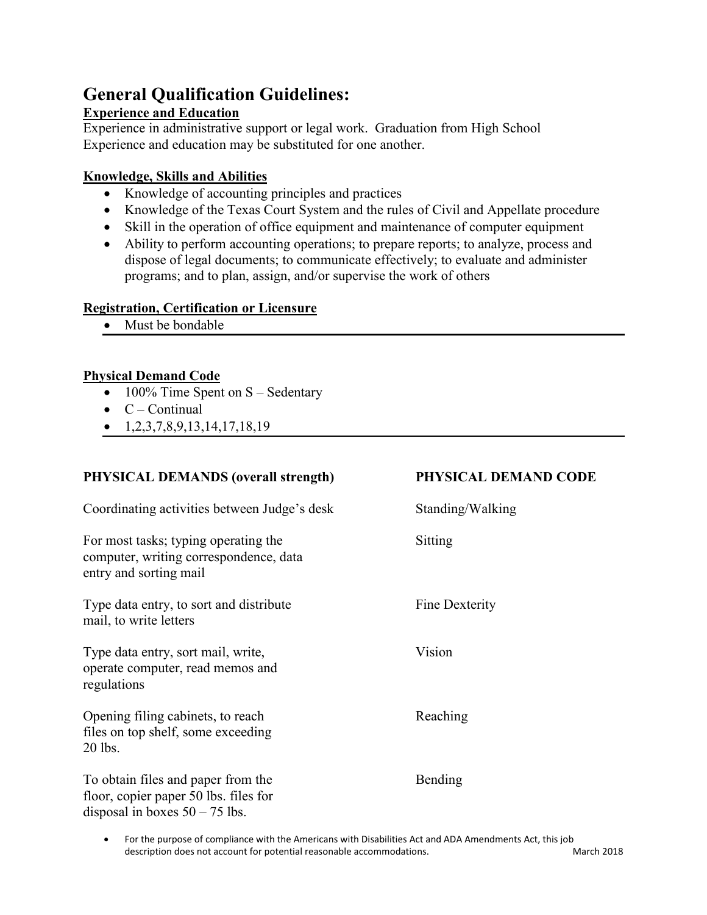## **General Qualification Guidelines:**

#### **Experience and Education**

Experience in administrative support or legal work. Graduation from High School Experience and education may be substituted for one another.

#### **Knowledge, Skills and Abilities**

- Knowledge of accounting principles and practices
- Knowledge of the Texas Court System and the rules of Civil and Appellate procedure
- Skill in the operation of office equipment and maintenance of computer equipment
- Ability to perform accounting operations; to prepare reports; to analyze, process and dispose of legal documents; to communicate effectively; to evaluate and administer programs; and to plan, assign, and/or supervise the work of others

#### **Registration, Certification or Licensure**

Must be bondable

#### **Physical Demand Code**

- 100% Time Spent on  $S -$  Sedentary
- $\bullet$  C Continual
- $\bullet$  1,2,3,7,8,9,13,14,17,18,19

## **PHYSICAL DEMANDS (overall strength) PHYSICAL DEMAND CODE** Coordinating activities between Judge's desk Standing/Walking For most tasks; typing operating the Sitting computer, writing correspondence, data entry and sorting mail Type data entry, to sort and distribute Fine Dexterity mail, to write letters Type data entry, sort mail, write, Vision operate computer, read memos and regulations Opening filing cabinets, to reach Reaching files on top shelf, some exceeding 20 lbs. To obtain files and paper from the Bending floor, copier paper 50 lbs. files for disposal in boxes  $50 - 75$  lbs.

• For the purpose of compliance with the Americans with Disabilities Act and ADA Amendments Act, this job description does not account for potential reasonable accommodations. March 2018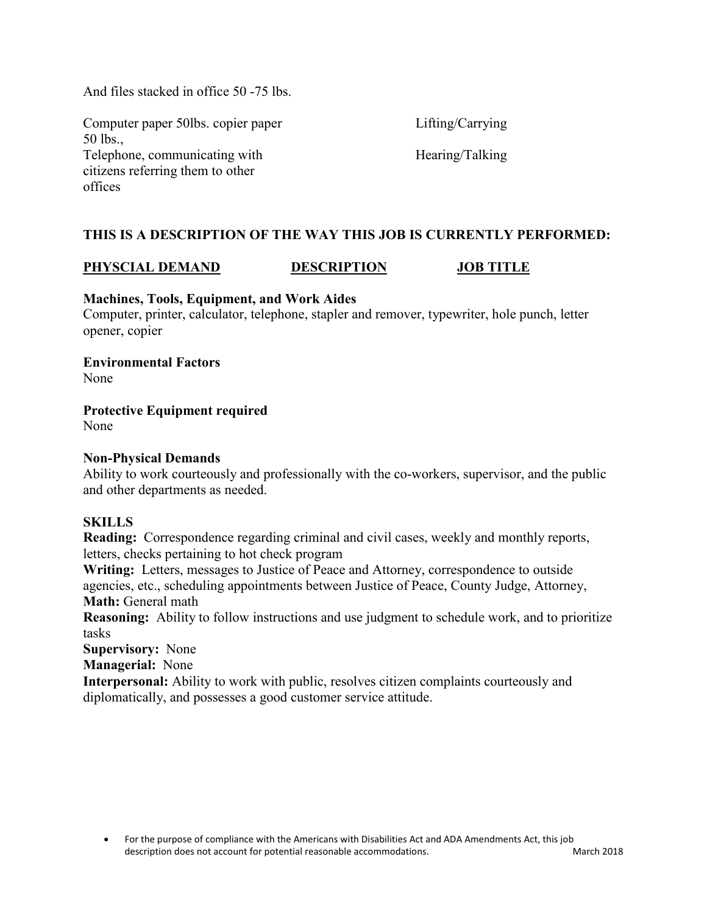And files stacked in office 50 -75 lbs.

Computer paper 50lbs. copier paper Lifting/Carrying 50 lbs., Telephone, communicating with Hearing/Talking citizens referring them to other offices

#### **THIS IS A DESCRIPTION OF THE WAY THIS JOB IS CURRENTLY PERFORMED:**

#### **PHYSCIAL DEMAND DESCRIPTION JOB TITLE**

#### **Machines, Tools, Equipment, and Work Aides**

Computer, printer, calculator, telephone, stapler and remover, typewriter, hole punch, letter opener, copier

**Environmental Factors** None

**Protective Equipment required**

None

#### **Non-Physical Demands**

Ability to work courteously and professionally with the co-workers, supervisor, and the public and other departments as needed.

#### **SKILLS**

**Reading:** Correspondence regarding criminal and civil cases, weekly and monthly reports, letters, checks pertaining to hot check program

**Writing:** Letters, messages to Justice of Peace and Attorney, correspondence to outside agencies, etc., scheduling appointments between Justice of Peace, County Judge, Attorney, **Math:** General math

**Reasoning:** Ability to follow instructions and use judgment to schedule work, and to prioritize tasks

**Supervisory:** None

**Managerial:** None

**Interpersonal:** Ability to work with public, resolves citizen complaints courteously and diplomatically, and possesses a good customer service attitude.